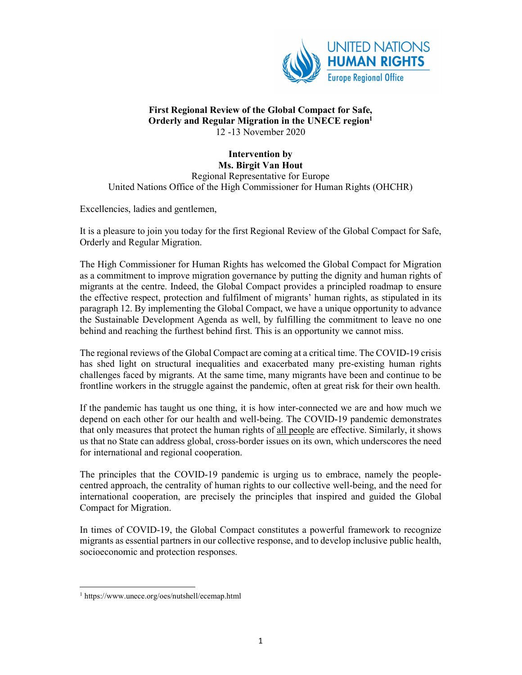

## First Regional Review of the Global Compact for Safe, Orderly and Regular Migration in the UNECE region<sup>1</sup> 12 -13 November 2020

## Intervention by

Ms. Birgit Van Hout Regional Representative for Europe United Nations Office of the High Commissioner for Human Rights (OHCHR)

Excellencies, ladies and gentlemen,

It is a pleasure to join you today for the first Regional Review of the Global Compact for Safe, Orderly and Regular Migration.

The High Commissioner for Human Rights has welcomed the Global Compact for Migration as a commitment to improve migration governance by putting the dignity and human rights of migrants at the centre. Indeed, the Global Compact provides a principled roadmap to ensure the effective respect, protection and fulfilment of migrants' human rights, as stipulated in its paragraph 12. By implementing the Global Compact, we have a unique opportunity to advance the Sustainable Development Agenda as well, by fulfilling the commitment to leave no one behind and reaching the furthest behind first. This is an opportunity we cannot miss.

The regional reviews of the Global Compact are coming at a critical time. The COVID-19 crisis has shed light on structural inequalities and exacerbated many pre-existing human rights challenges faced by migrants. At the same time, many migrants have been and continue to be frontline workers in the struggle against the pandemic, often at great risk for their own health.

If the pandemic has taught us one thing, it is how inter-connected we are and how much we depend on each other for our health and well-being. The COVID-19 pandemic demonstrates that only measures that protect the human rights of all people are effective. Similarly, it shows us that no State can address global, cross-border issues on its own, which underscores the need for international and regional cooperation.

The principles that the COVID-19 pandemic is urging us to embrace, namely the peoplecentred approach, the centrality of human rights to our collective well-being, and the need for international cooperation, are precisely the principles that inspired and guided the Global Compact for Migration.

In times of COVID-19, the Global Compact constitutes a powerful framework to recognize migrants as essential partners in our collective response, and to develop inclusive public health, socioeconomic and protection responses.

1

<sup>1</sup> https://www.unece.org/oes/nutshell/ecemap.html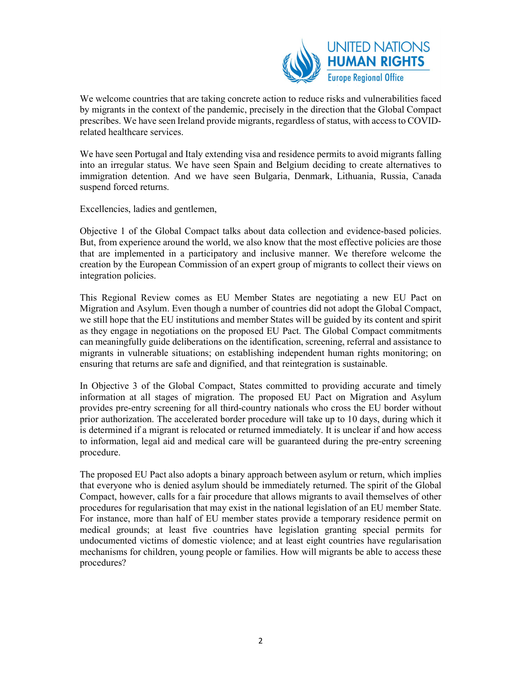

We welcome countries that are taking concrete action to reduce risks and vulnerabilities faced by migrants in the context of the pandemic, precisely in the direction that the Global Compact prescribes. We have seen Ireland provide migrants, regardless of status, with access to COVIDrelated healthcare services.

We have seen Portugal and Italy extending visa and residence permits to avoid migrants falling into an irregular status. We have seen Spain and Belgium deciding to create alternatives to immigration detention. And we have seen Bulgaria, Denmark, Lithuania, Russia, Canada suspend forced returns.

Excellencies, ladies and gentlemen,

Objective 1 of the Global Compact talks about data collection and evidence-based policies. But, from experience around the world, we also know that the most effective policies are those that are implemented in a participatory and inclusive manner. We therefore welcome the creation by the European Commission of an expert group of migrants to collect their views on integration policies.

This Regional Review comes as EU Member States are negotiating a new EU Pact on Migration and Asylum. Even though a number of countries did not adopt the Global Compact, we still hope that the EU institutions and member States will be guided by its content and spirit as they engage in negotiations on the proposed EU Pact. The Global Compact commitments can meaningfully guide deliberations on the identification, screening, referral and assistance to migrants in vulnerable situations; on establishing independent human rights monitoring; on ensuring that returns are safe and dignified, and that reintegration is sustainable.

In Objective 3 of the Global Compact, States committed to providing accurate and timely information at all stages of migration. The proposed EU Pact on Migration and Asylum provides pre-entry screening for all third-country nationals who cross the EU border without prior authorization. The accelerated border procedure will take up to 10 days, during which it is determined if a migrant is relocated or returned immediately. It is unclear if and how access to information, legal aid and medical care will be guaranteed during the pre-entry screening procedure.

The proposed EU Pact also adopts a binary approach between asylum or return, which implies that everyone who is denied asylum should be immediately returned. The spirit of the Global Compact, however, calls for a fair procedure that allows migrants to avail themselves of other procedures for regularisation that may exist in the national legislation of an EU member State. For instance, more than half of EU member states provide a temporary residence permit on medical grounds; at least five countries have legislation granting special permits for undocumented victims of domestic violence; and at least eight countries have regularisation mechanisms for children, young people or families. How will migrants be able to access these procedures?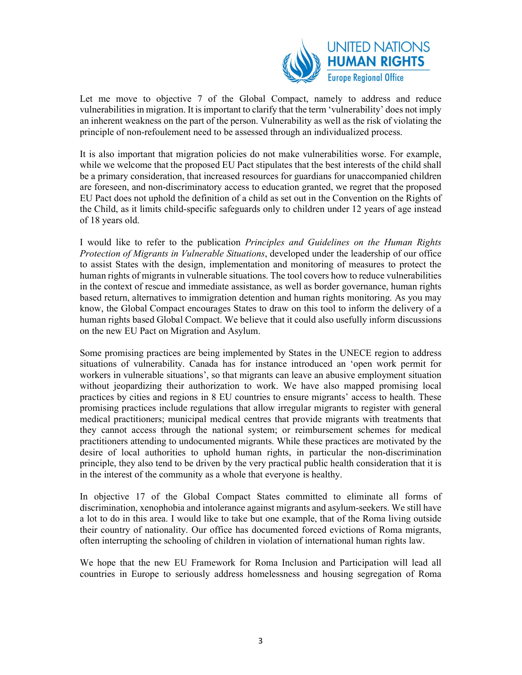

Let me move to objective 7 of the Global Compact, namely to address and reduce vulnerabilities in migration. It is important to clarify that the term 'vulnerability' does not imply an inherent weakness on the part of the person. Vulnerability as well as the risk of violating the principle of non-refoulement need to be assessed through an individualized process.

It is also important that migration policies do not make vulnerabilities worse. For example, while we welcome that the proposed EU Pact stipulates that the best interests of the child shall be a primary consideration, that increased resources for guardians for unaccompanied children are foreseen, and non-discriminatory access to education granted, we regret that the proposed EU Pact does not uphold the definition of a child as set out in the Convention on the Rights of the Child, as it limits child-specific safeguards only to children under 12 years of age instead of 18 years old.

I would like to refer to the publication Principles and Guidelines on the Human Rights Protection of Migrants in Vulnerable Situations, developed under the leadership of our office to assist States with the design, implementation and monitoring of measures to protect the human rights of migrants in vulnerable situations. The tool covers how to reduce vulnerabilities in the context of rescue and immediate assistance, as well as border governance, human rights based return, alternatives to immigration detention and human rights monitoring. As you may know, the Global Compact encourages States to draw on this tool to inform the delivery of a human rights based Global Compact. We believe that it could also usefully inform discussions on the new EU Pact on Migration and Asylum.

Some promising practices are being implemented by States in the UNECE region to address situations of vulnerability. Canada has for instance introduced an 'open work permit for workers in vulnerable situations', so that migrants can leave an abusive employment situation without jeopardizing their authorization to work. We have also mapped promising local practices by cities and regions in 8 EU countries to ensure migrants' access to health. These promising practices include regulations that allow irregular migrants to register with general medical practitioners; municipal medical centres that provide migrants with treatments that they cannot access through the national system; or reimbursement schemes for medical practitioners attending to undocumented migrants. While these practices are motivated by the desire of local authorities to uphold human rights, in particular the non-discrimination principle, they also tend to be driven by the very practical public health consideration that it is in the interest of the community as a whole that everyone is healthy.

In objective 17 of the Global Compact States committed to eliminate all forms of discrimination, xenophobia and intolerance against migrants and asylum-seekers. We still have a lot to do in this area. I would like to take but one example, that of the Roma living outside their country of nationality. Our office has documented forced evictions of Roma migrants, often interrupting the schooling of children in violation of international human rights law.

We hope that the new EU Framework for Roma Inclusion and Participation will lead all countries in Europe to seriously address homelessness and housing segregation of Roma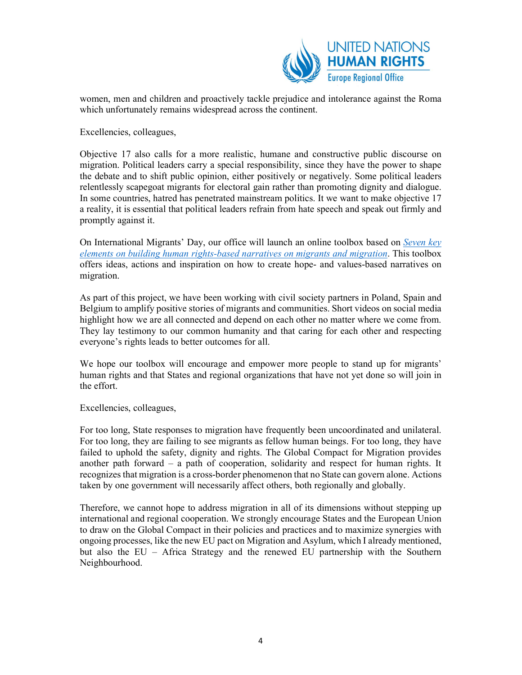

women, men and children and proactively tackle prejudice and intolerance against the Roma which unfortunately remains widespread across the continent.

Excellencies, colleagues,

Objective 17 also calls for a more realistic, humane and constructive public discourse on migration. Political leaders carry a special responsibility, since they have the power to shape the debate and to shift public opinion, either positively or negatively. Some political leaders relentlessly scapegoat migrants for electoral gain rather than promoting dignity and dialogue. In some countries, hatred has penetrated mainstream politics. It we want to make objective 17 a reality, it is essential that political leaders refrain from hate speech and speak out firmly and promptly against it.

On International Migrants' Day, our office will launch an online toolbox based on Seven key elements on building human rights-based narratives on migrants and migration. This toolbox offers ideas, actions and inspiration on how to create hope- and values-based narratives on migration.

As part of this project, we have been working with civil society partners in Poland, Spain and Belgium to amplify positive stories of migrants and communities. Short videos on social media highlight how we are all connected and depend on each other no matter where we come from. They lay testimony to our common humanity and that caring for each other and respecting everyone's rights leads to better outcomes for all.

We hope our toolbox will encourage and empower more people to stand up for migrants' human rights and that States and regional organizations that have not yet done so will join in the effort.

Excellencies, colleagues,

For too long, State responses to migration have frequently been uncoordinated and unilateral. For too long, they are failing to see migrants as fellow human beings. For too long, they have failed to uphold the safety, dignity and rights. The Global Compact for Migration provides another path forward – a path of cooperation, solidarity and respect for human rights. It recognizes that migration is a cross-border phenomenon that no State can govern alone. Actions taken by one government will necessarily affect others, both regionally and globally.

Therefore, we cannot hope to address migration in all of its dimensions without stepping up international and regional cooperation. We strongly encourage States and the European Union to draw on the Global Compact in their policies and practices and to maximize synergies with ongoing processes, like the new EU pact on Migration and Asylum, which I already mentioned, but also the EU – Africa Strategy and the renewed EU partnership with the Southern Neighbourhood.